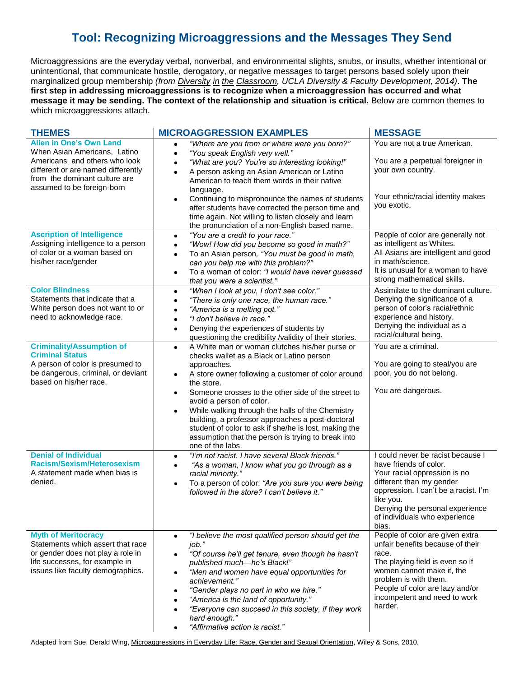## **Tool: Recognizing Microaggressions and the Messages They Send**

Microaggressions are the everyday verbal, nonverbal, and environmental slights, snubs, or insults, whether intentional or unintentional, that communicate hostile, derogatory, or negative messages to target persons based solely upon their marginalized group membership *(from Diversity in the Classroom, UCLA Diversity & Faculty Development, 2014)*. **The first step in addressing microaggressions is to recognize when a microaggression has occurred and what message it may be sending. The context of the relationship and situation is critical.** Below are common themes to which microaggressions attach.

| <b>THEMES</b>                                                                                                                                                                                        | <b>MICROAGGRESSION EXAMPLES</b>                                                                                                                                                                                                                                                                                                                                                                                                                                                                                                                                 | <b>MESSAGE</b>                                                                                                                                                                                                                                            |
|------------------------------------------------------------------------------------------------------------------------------------------------------------------------------------------------------|-----------------------------------------------------------------------------------------------------------------------------------------------------------------------------------------------------------------------------------------------------------------------------------------------------------------------------------------------------------------------------------------------------------------------------------------------------------------------------------------------------------------------------------------------------------------|-----------------------------------------------------------------------------------------------------------------------------------------------------------------------------------------------------------------------------------------------------------|
| <b>Alien in One's Own Land</b><br>When Asian Americans, Latino<br>Americans and others who look<br>different or are named differently<br>from the dominant culture are<br>assumed to be foreign-born | "Where are you from or where were you born?"<br>"You speak English very well."<br>$\bullet$<br>"What are you? You're so interesting looking!"<br>A person asking an Asian American or Latino<br>$\bullet$<br>American to teach them words in their native<br>language.<br>Continuing to mispronounce the names of students<br>$\bullet$<br>after students have corrected the person time and<br>time again. Not willing to listen closely and learn<br>the pronunciation of a non-English based name.                                                           | You are not a true American.<br>You are a perpetual foreigner in<br>your own country.<br>Your ethnic/racial identity makes<br>you exotic.                                                                                                                 |
| <b>Ascription of Intelligence</b><br>Assigning intelligence to a person<br>of color or a woman based on<br>his/her race/gender                                                                       | "You are a credit to your race."<br>٠<br>"Wow! How did you become so good in math?"<br>$\bullet$<br>To an Asian person, "You must be good in math,<br>$\bullet$<br>can you help me with this problem?"<br>To a woman of color: "I would have never guessed<br>٠<br>that you were a scientist."                                                                                                                                                                                                                                                                  | People of color are generally not<br>as intelligent as Whites.<br>All Asians are intelligent and good<br>in math/science.<br>It is unusual for a woman to have<br>strong mathematical skills.                                                             |
| <b>Color Blindness</b><br>Statements that indicate that a<br>White person does not want to or<br>need to acknowledge race.                                                                           | "When I look at you, I don't see color."<br>$\bullet$<br>"There is only one race, the human race."<br>$\bullet$<br>"America is a melting pot."<br>"I don't believe in race."<br>$\bullet$<br>Denying the experiences of students by<br>$\bullet$<br>questioning the credibility /validity of their stories.                                                                                                                                                                                                                                                     | Assimilate to the dominant culture.<br>Denying the significance of a<br>person of color's racial/ethnic<br>experience and history.<br>Denying the individual as a<br>racial/cultural being.                                                               |
| <b>Criminality/Assumption of</b><br><b>Criminal Status</b><br>A person of color is presumed to<br>be dangerous, criminal, or deviant<br>based on his/her race.                                       | A White man or woman clutches his/her purse or<br>$\bullet$<br>checks wallet as a Black or Latino person<br>approaches.<br>A store owner following a customer of color around<br>$\bullet$<br>the store.<br>Someone crosses to the other side of the street to<br>$\bullet$<br>avoid a person of color.<br>While walking through the halls of the Chemistry<br>$\bullet$<br>building, a professor approaches a post-doctoral<br>student of color to ask if she/he is lost, making the<br>assumption that the person is trying to break into<br>one of the labs. | You are a criminal.<br>You are going to steal/you are<br>poor, you do not belong.<br>You are dangerous.                                                                                                                                                   |
| <b>Denial of Individual</b><br><b>Racism/Sexism/Heterosexism</b><br>A statement made when bias is<br>denied.                                                                                         | "I'm not racist. I have several Black friends."<br>$\bullet$<br>"As a woman, I know what you go through as a<br>$\bullet$<br>racial minority."<br>To a person of color: "Are you sure you were being<br>$\bullet$<br>followed in the store? I can't believe it."                                                                                                                                                                                                                                                                                                | I could never be racist because I<br>have friends of color.<br>Your racial oppression is no<br>different than my gender<br>oppression. I can't be a racist. I'm<br>like you.<br>Denying the personal experience<br>of individuals who experience<br>bias. |
| <b>Myth of Meritocracy</b><br>Statements which assert that race<br>or gender does not play a role in<br>life successes, for example in<br>issues like faculty demographics.                          | "I believe the most qualified person should get the<br>$\bullet$<br>job."<br>"Of course he'll get tenure, even though he hasn't<br>published much-he's Black!"<br>"Men and women have equal opportunities for<br>$\bullet$<br>achievement."<br>"Gender plays no part in who we hire."<br>"America is the land of opportunity."<br>"Everyone can succeed in this society, if they work<br>hard enough."<br>"Affirmative action is racist."                                                                                                                       | People of color are given extra<br>unfair benefits because of their<br>race.<br>The playing field is even so if<br>women cannot make it, the<br>problem is with them.<br>People of color are lazy and/or<br>incompetent and need to work<br>harder.       |